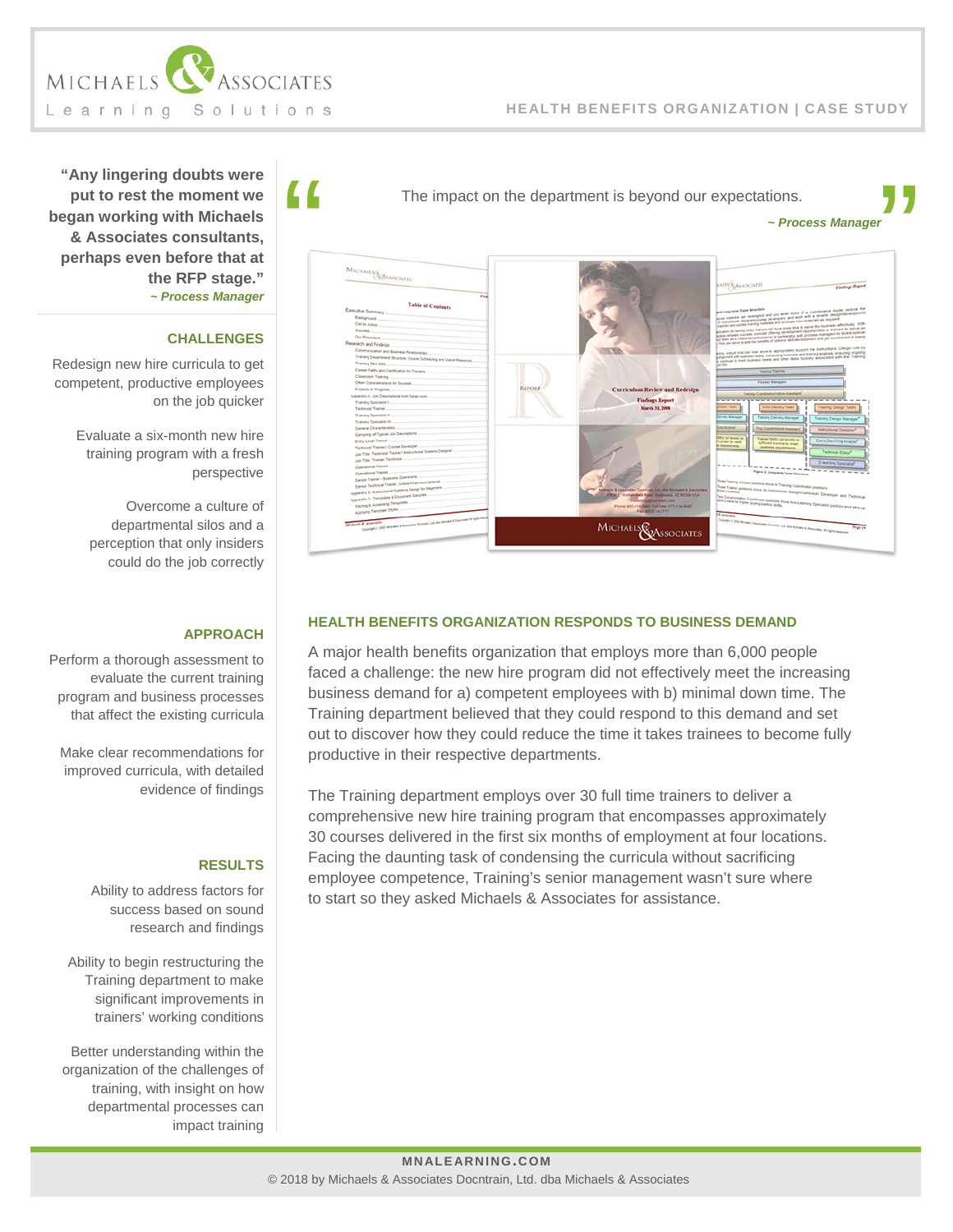

### **HEALTH BENEFITS ORGANIZATION | CASE STUDY**

**"Any lingering doubts were put to rest the moment we began working with Michaels & Associates consultants, perhaps even before that at the RFP stage."** *~ Process Manager*

### **CHALLENGES**

Redesign new hire curricula to get competent, productive employees on the job quicker

> Evaluate a six-month new hire training program with a fresh perspective

Overcome a culture of departmental silos and a perception that only insiders could do the job correctly

## **APPROACH**

Perform a thorough assessment to evaluate the current training program and business processes that affect the existing curricula

Make clear recommendations for improved curricula, with detailed evidence of findings

#### **RESULTS**

Ability to address factors for success based on sound research and findings

Ability to begin restructuring the Training department to make significant improvements in trainers' working conditions

Better understanding within the organization of the challenges of training, with insight on how departmental processes can impact training *~ Process Manager*



# **HEALTH BENEFITS ORGANIZATION RESPONDS TO BUSINESS DEMAND**

A major health benefits organization that employs more than 6,000 people faced a challenge: the new hire program did not effectively meet the increasing business demand for a) competent employees with b) minimal down time. The Training department believed that they could respond to this demand and set out to discover how they could reduce the time it takes trainees to become fully productive in their respective departments.

The Training department employs over 30 full time trainers to deliver a comprehensive new hire training program that encompasses approximately 30 courses delivered in the first six months of employment at four locations. Facing the daunting task of condensing the curricula without sacrificing employee competence, Training's senior management wasn't sure where to start so they asked Michaels & Associates for assistance.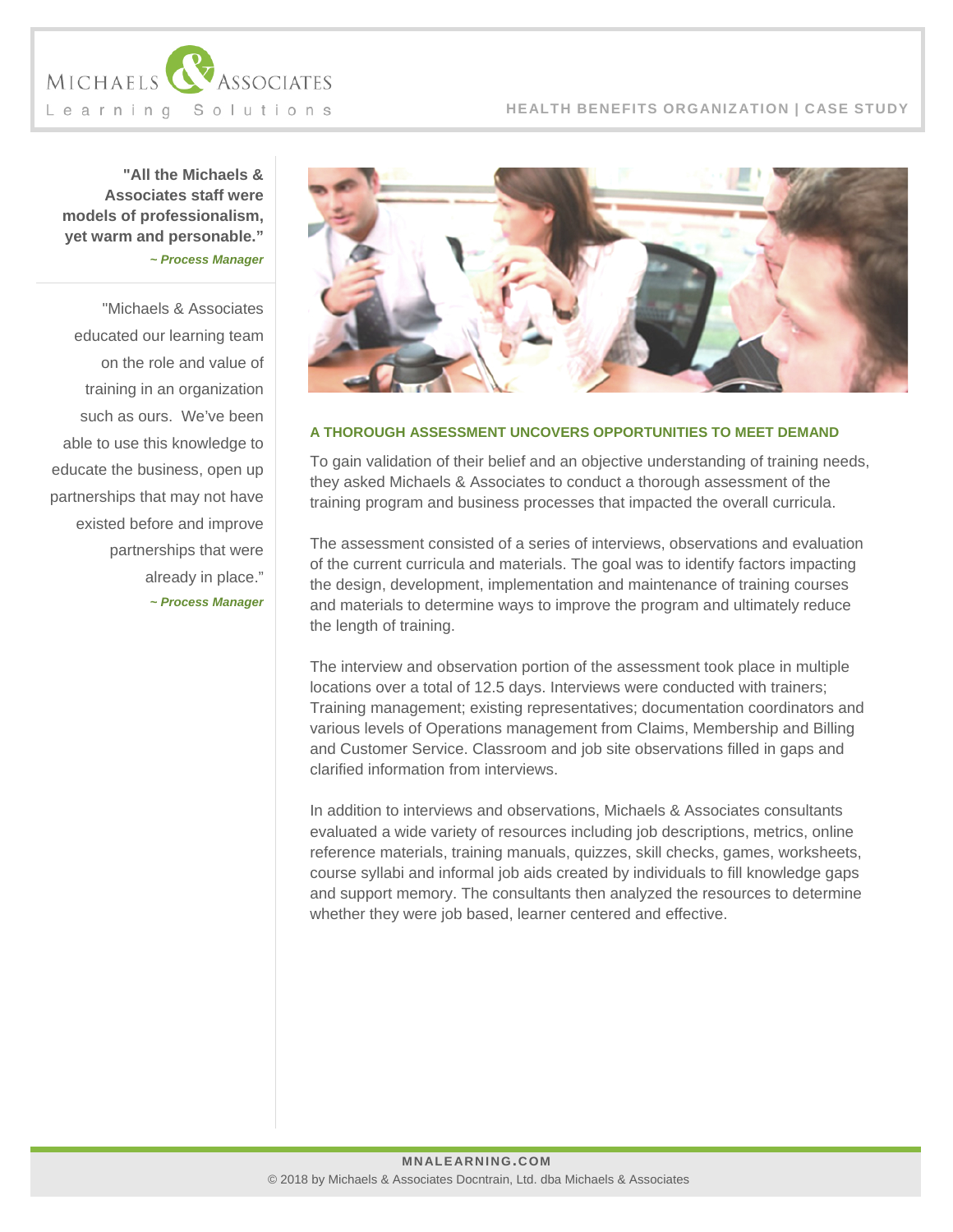

**"All the Michaels & Associates staff were models of professionalism, yet warm and personable."** *~ Process Manager*

"Michaels & Associates educated our learning team on the role and value of training in an organization such as ours. We've been able to use this knowledge to educate the business, open up partnerships that may not have existed before and improve partnerships that were already in place." *~ Process Manager*



# **A THOROUGH ASSESSMENT UNCOVERS OPPORTUNITIES TO MEET DEMAND**

To gain validation of their belief and an objective understanding of training needs, they asked Michaels & Associates to conduct a thorough assessment of the training program and business processes that impacted the overall curricula.

The assessment consisted of a series of interviews, observations and evaluation of the current curricula and materials. The goal was to identify factors impacting the design, development, implementation and maintenance of training courses and materials to determine ways to improve the program and ultimately reduce the length of training.

The interview and observation portion of the assessment took place in multiple locations over a total of 12.5 days. Interviews were conducted with trainers; Training management; existing representatives; documentation coordinators and various levels of Operations management from Claims, Membership and Billing and Customer Service. Classroom and job site observations filled in gaps and clarified information from interviews.

In addition to interviews and observations, Michaels & Associates consultants evaluated a wide variety of resources including job descriptions, metrics, online reference materials, training manuals, quizzes, skill checks, games, worksheets, course syllabi and informal job aids created by individuals to fill knowledge gaps and support memory. The consultants then analyzed the resources to determine whether they were job based, learner centered and effective.